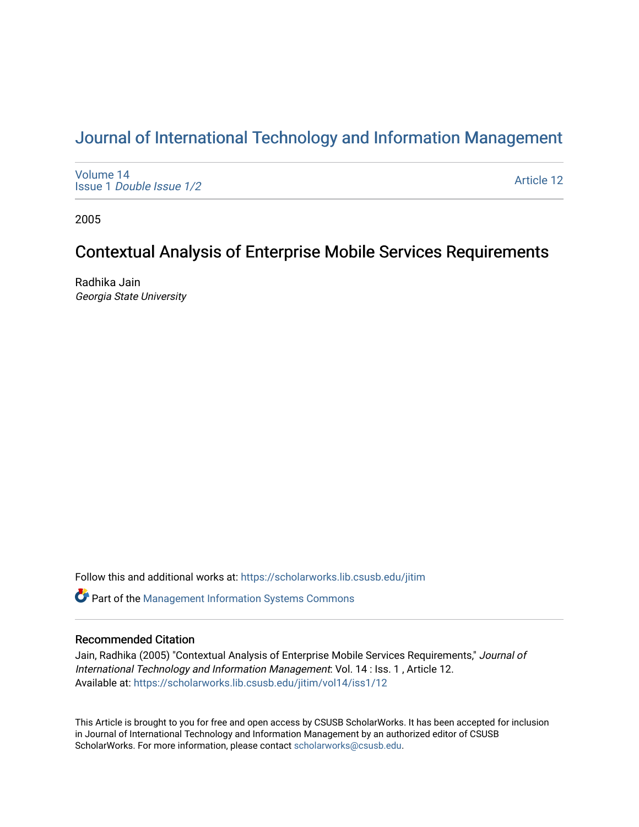# [Journal of International Technology and Information Management](https://scholarworks.lib.csusb.edu/jitim)

[Volume 14](https://scholarworks.lib.csusb.edu/jitim/vol14) Issue 1 [Double Issue 1/2](https://scholarworks.lib.csusb.edu/jitim/vol14/iss1) 

[Article 12](https://scholarworks.lib.csusb.edu/jitim/vol14/iss1/12) 

2005

# Contextual Analysis of Enterprise Mobile Services Requirements

Radhika Jain Georgia State University

Follow this and additional works at: [https://scholarworks.lib.csusb.edu/jitim](https://scholarworks.lib.csusb.edu/jitim?utm_source=scholarworks.lib.csusb.edu%2Fjitim%2Fvol14%2Fiss1%2F12&utm_medium=PDF&utm_campaign=PDFCoverPages) 

**C** Part of the Management Information Systems Commons

# Recommended Citation

Jain, Radhika (2005) "Contextual Analysis of Enterprise Mobile Services Requirements," Journal of International Technology and Information Management: Vol. 14 : Iss. 1 , Article 12. Available at: [https://scholarworks.lib.csusb.edu/jitim/vol14/iss1/12](https://scholarworks.lib.csusb.edu/jitim/vol14/iss1/12?utm_source=scholarworks.lib.csusb.edu%2Fjitim%2Fvol14%2Fiss1%2F12&utm_medium=PDF&utm_campaign=PDFCoverPages)

This Article is brought to you for free and open access by CSUSB ScholarWorks. It has been accepted for inclusion in Journal of International Technology and Information Management by an authorized editor of CSUSB ScholarWorks. For more information, please contact [scholarworks@csusb.edu.](mailto:scholarworks@csusb.edu)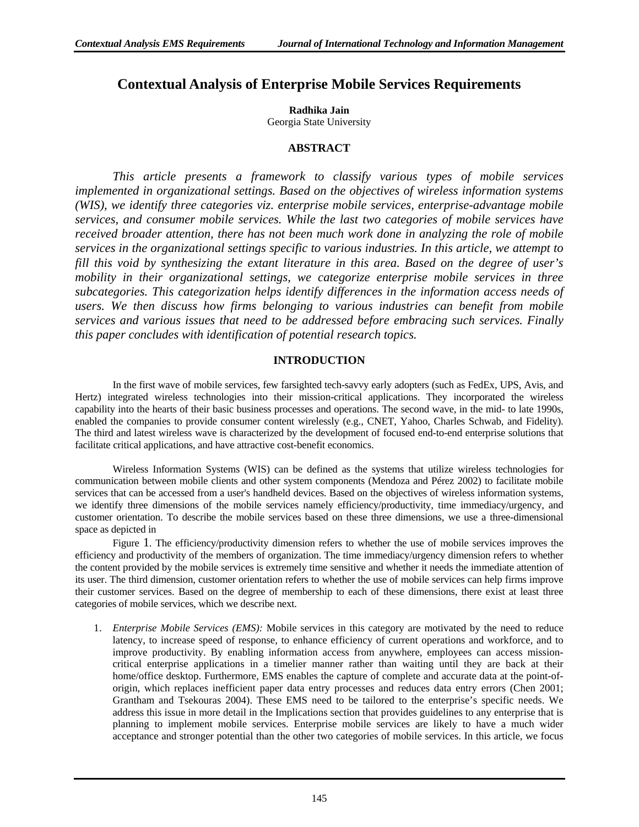# **Contextual Analysis of Enterprise Mobile Services Requirements**

**Radhika Jain** 

Georgia State University

# **ABSTRACT**

*This article presents a framework to classify various types of mobile services implemented in organizational settings. Based on the objectives of wireless information systems (WIS), we identify three categories viz. enterprise mobile services, enterprise-advantage mobile services, and consumer mobile services. While the last two categories of mobile services have received broader attention, there has not been much work done in analyzing the role of mobile services in the organizational settings specific to various industries. In this article, we attempt to fill this void by synthesizing the extant literature in this area. Based on the degree of user's mobility in their organizational settings, we categorize enterprise mobile services in three subcategories. This categorization helps identify differences in the information access needs of users. We then discuss how firms belonging to various industries can benefit from mobile services and various issues that need to be addressed before embracing such services. Finally this paper concludes with identification of potential research topics.* 

# **INTRODUCTION**

In the first wave of mobile services, few farsighted tech-savvy early adopters (such as FedEx, UPS, Avis, and Hertz) integrated wireless technologies into their mission-critical applications. They incorporated the wireless capability into the hearts of their basic business processes and operations. The second wave, in the mid- to late 1990s, enabled the companies to provide consumer content wirelessly (e.g., CNET, Yahoo, Charles Schwab, and Fidelity). The third and latest wireless wave is characterized by the development of focused end-to-end enterprise solutions that facilitate critical applications, and have attractive cost-benefit economics.

Wireless Information Systems (WIS) can be defined as the systems that utilize wireless technologies for communication between mobile clients and other system components (Mendoza and Pérez 2002) to facilitate mobile services that can be accessed from a user's handheld devices. Based on the objectives of wireless information systems, we identify three dimensions of the mobile services namely efficiency/productivity, time immediacy/urgency, and customer orientation. To describe the mobile services based on these three dimensions, we use a three-dimensional space as depicted in

Figure 1. The efficiency/productivity dimension refers to whether the use of mobile services improves the efficiency and productivity of the members of organization. The time immediacy/urgency dimension refers to whether the content provided by the mobile services is extremely time sensitive and whether it needs the immediate attention of its user. The third dimension, customer orientation refers to whether the use of mobile services can help firms improve their customer services. Based on the degree of membership to each of these dimensions, there exist at least three categories of mobile services, which we describe next.

1. *Enterprise Mobile Services (EMS):* Mobile services in this category are motivated by the need to reduce latency, to increase speed of response, to enhance efficiency of current operations and workforce, and to improve productivity. By enabling information access from anywhere, employees can access missioncritical enterprise applications in a timelier manner rather than waiting until they are back at their home/office desktop. Furthermore, EMS enables the capture of complete and accurate data at the point-oforigin, which replaces inefficient paper data entry processes and reduces data entry errors (Chen 2001; Grantham and Tsekouras 2004). These EMS need to be tailored to the enterprise's specific needs. We address this issue in more detail in the Implications section that provides guidelines to any enterprise that is planning to implement mobile services. Enterprise mobile services are likely to have a much wider acceptance and stronger potential than the other two categories of mobile services. In this article, we focus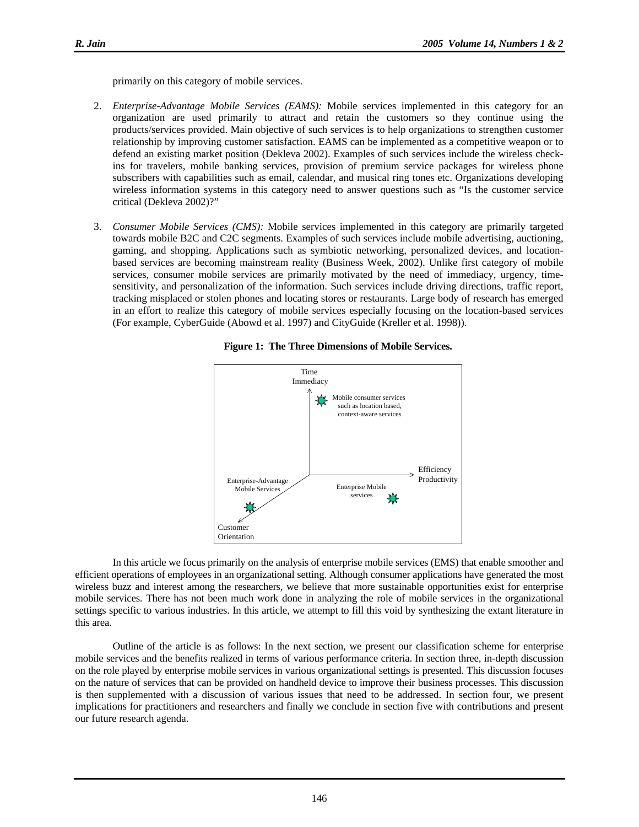primarily on this category of mobile services.

- 2. *Enterprise-Advantage Mobile Services (EAMS):* Mobile services implemented in this category for an organization are used primarily to attract and retain the customers so they continue using the products/services provided. Main objective of such services is to help organizations to strengthen customer relationship by improving customer satisfaction. EAMS can be implemented as a competitive weapon or to defend an existing market position (Dekleva 2002). Examples of such services include the wireless checkins for travelers, mobile banking services, provision of premium service packages for wireless phone subscribers with capabilities such as email, calendar, and musical ring tones etc. Organizations developing wireless information systems in this category need to answer questions such as "Is the customer service critical (Dekleva 2002)?"
- 3. *Consumer Mobile Services (CMS):* Mobile services implemented in this category are primarily targeted towards mobile B2C and C2C segments. Examples of such services include mobile advertising, auctioning, gaming, and shopping. Applications such as symbiotic networking, personalized devices, and locationbased services are becoming mainstream reality (Business Week, 2002). Unlike first category of mobile services, consumer mobile services are primarily motivated by the need of immediacy, urgency, timesensitivity, and personalization of the information. Such services include driving directions, traffic report, tracking misplaced or stolen phones and locating stores or restaurants. Large body of research has emerged in an effort to realize this category of mobile services especially focusing on the location-based services (For example, CyberGuide (Abowd et al. 1997) and CityGuide (Kreller et al. 1998)).





In this article we focus primarily on the analysis of enterprise mobile services (EMS) that enable smoother and efficient operations of employees in an organizational setting. Although consumer applications have generated the most wireless buzz and interest among the researchers, we believe that more sustainable opportunities exist for enterprise mobile services. There has not been much work done in analyzing the role of mobile services in the organizational settings specific to various industries. In this article, we attempt to fill this void by synthesizing the extant literature in this area.

Outline of the article is as follows: In the next section, we present our classification scheme for enterprise mobile services and the benefits realized in terms of various performance criteria. In section three, in-depth discussion on the role played by enterprise mobile services in various organizational settings is presented. This discussion focuses on the nature of services that can be provided on handheld device to improve their business processes. This discussion is then supplemented with a discussion of various issues that need to be addressed. In section four, we present implications for practitioners and researchers and finally we conclude in section five with contributions and present our future research agenda.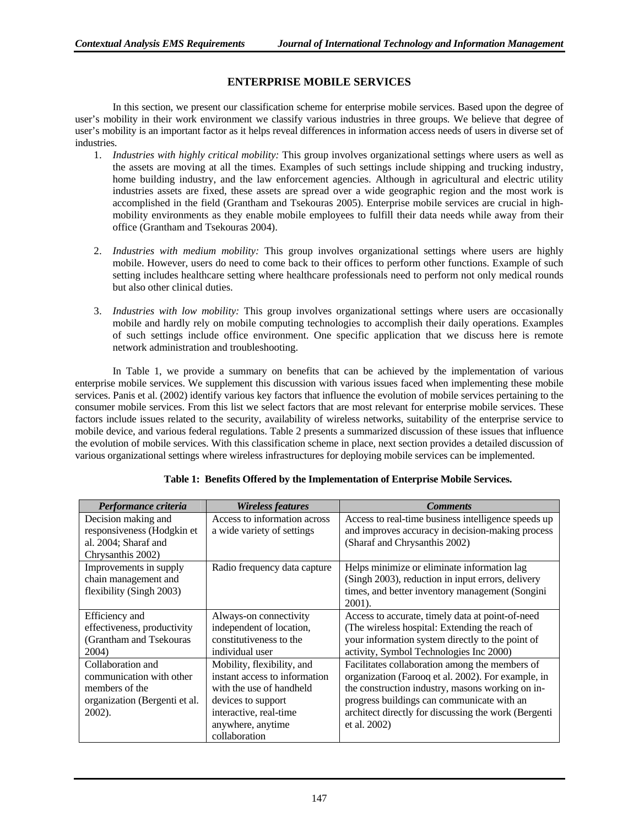### **ENTERPRISE MOBILE SERVICES**

In this section, we present our classification scheme for enterprise mobile services. Based upon the degree of user's mobility in their work environment we classify various industries in three groups. We believe that degree of user's mobility is an important factor as it helps reveal differences in information access needs of users in diverse set of industries.

- 1. *Industries with highly critical mobility:* This group involves organizational settings where users as well as the assets are moving at all the times. Examples of such settings include shipping and trucking industry, home building industry, and the law enforcement agencies. Although in agricultural and electric utility industries assets are fixed, these assets are spread over a wide geographic region and the most work is accomplished in the field (Grantham and Tsekouras 2005). Enterprise mobile services are crucial in highmobility environments as they enable mobile employees to fulfill their data needs while away from their office (Grantham and Tsekouras 2004).
- 2. *Industries with medium mobility:* This group involves organizational settings where users are highly mobile. However, users do need to come back to their offices to perform other functions. Example of such setting includes healthcare setting where healthcare professionals need to perform not only medical rounds but also other clinical duties.
- 3. *Industries with low mobility:* This group involves organizational settings where users are occasionally mobile and hardly rely on mobile computing technologies to accomplish their daily operations. Examples of such settings include office environment. One specific application that we discuss here is remote network administration and troubleshooting.

In Table 1, we provide a summary on benefits that can be achieved by the implementation of various enterprise mobile services. We supplement this discussion with various issues faced when implementing these mobile services. Panis et al. (2002) identify various key factors that influence the evolution of mobile services pertaining to the consumer mobile services. From this list we select factors that are most relevant for enterprise mobile services. These factors include issues related to the security, availability of wireless networks, suitability of the enterprise service to mobile device, and various federal regulations. Table 2 presents a summarized discussion of these issues that influence the evolution of mobile services. With this classification scheme in place, next section provides a detailed discussion of various organizational settings where wireless infrastructures for deploying mobile services can be implemented.

| Performance criteria          | <i>Wireless features</i>      | <b>Comments</b>                                      |
|-------------------------------|-------------------------------|------------------------------------------------------|
| Decision making and           | Access to information across  | Access to real-time business intelligence speeds up  |
| responsiveness (Hodgkin et    | a wide variety of settings    | and improves accuracy in decision-making process     |
| al. 2004; Sharaf and          |                               | (Sharaf and Chrysanthis 2002)                        |
| Chrysanthis 2002)             |                               |                                                      |
| Improvements in supply        | Radio frequency data capture  | Helps minimize or eliminate information lag          |
| chain management and          |                               | (Singh 2003), reduction in input errors, delivery    |
| flexibility (Singh 2003)      |                               | times, and better inventory management (Songini      |
|                               |                               | 2001).                                               |
| Efficiency and                | Always-on connectivity        | Access to accurate, timely data at point-of-need     |
| effectiveness, productivity   | independent of location,      | (The wireless hospital: Extending the reach of       |
| (Grantham and Tsekouras       | constitutiveness to the       | your information system directly to the point of     |
| 2004)                         | individual user               | activity, Symbol Technologies Inc 2000)              |
| Collaboration and             | Mobility, flexibility, and    | Facilitates collaboration among the members of       |
| communication with other      | instant access to information | organization (Farooq et al. 2002). For example, in   |
| members of the                | with the use of handheld      | the construction industry, masons working on in-     |
| organization (Bergenti et al. | devices to support            | progress buildings can communicate with an           |
| $2002$ ).                     | interactive, real-time        | architect directly for discussing the work (Bergenti |
|                               | anywhere, anytime             | et al. 2002)                                         |
|                               | collaboration                 |                                                      |

**Table 1: Benefits Offered by the Implementation of Enterprise Mobile Services.**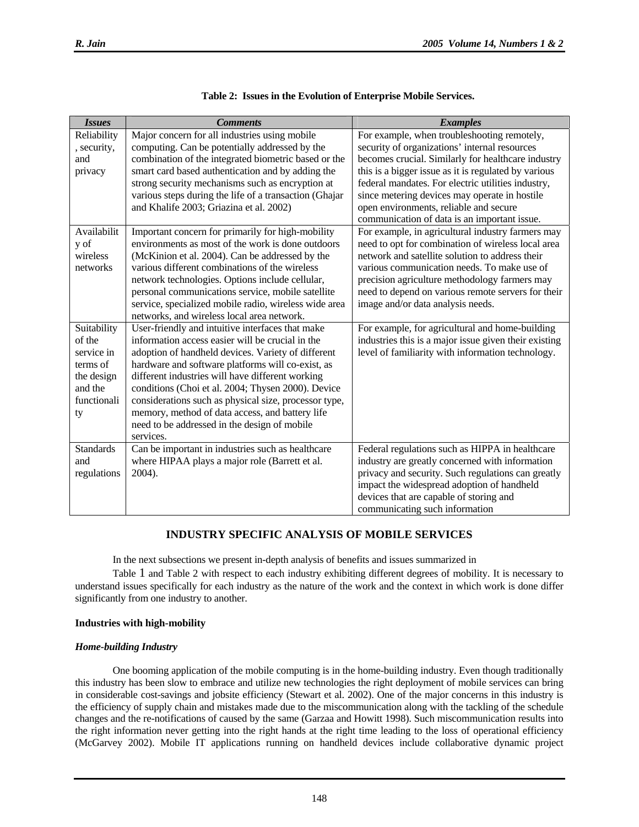| <b>Issues</b>    | <b>Comments</b>                                                                                            | <b>Examples</b>                                                                         |
|------------------|------------------------------------------------------------------------------------------------------------|-----------------------------------------------------------------------------------------|
| Reliability      | Major concern for all industries using mobile                                                              | For example, when troubleshooting remotely,                                             |
| , security,      | computing. Can be potentially addressed by the                                                             | security of organizations' internal resources                                           |
| and              | combination of the integrated biometric based or the                                                       | becomes crucial. Similarly for healthcare industry                                      |
| privacy          | smart card based authentication and by adding the                                                          | this is a bigger issue as it is regulated by various                                    |
|                  | strong security mechanisms such as encryption at                                                           | federal mandates. For electric utilities industry,                                      |
|                  | various steps during the life of a transaction (Ghajar                                                     | since metering devices may operate in hostile                                           |
|                  | and Khalife 2003; Griazina et al. 2002)                                                                    | open environments, reliable and secure                                                  |
|                  |                                                                                                            | communication of data is an important issue.                                            |
| Availabilit      | Important concern for primarily for high-mobility                                                          | For example, in agricultural industry farmers may                                       |
| y of             | environments as most of the work is done outdoors                                                          | need to opt for combination of wireless local area                                      |
| wireless         | (McKinion et al. 2004). Can be addressed by the                                                            | network and satellite solution to address their                                         |
| networks         | various different combinations of the wireless                                                             | various communication needs. To make use of                                             |
|                  | network technologies. Options include cellular,                                                            | precision agriculture methodology farmers may                                           |
|                  | personal communications service, mobile satellite<br>service, specialized mobile radio, wireless wide area | need to depend on various remote servers for their<br>image and/or data analysis needs. |
|                  | networks, and wireless local area network.                                                                 |                                                                                         |
| Suitability      | User-friendly and intuitive interfaces that make                                                           | For example, for agricultural and home-building                                         |
| of the           | information access easier will be crucial in the                                                           | industries this is a major issue given their existing                                   |
| service in       | adoption of handheld devices. Variety of different                                                         | level of familiarity with information technology.                                       |
| terms of         | hardware and software platforms will co-exist, as                                                          |                                                                                         |
| the design       | different industries will have different working                                                           |                                                                                         |
| and the          | conditions (Choi et al. 2004; Thysen 2000). Device                                                         |                                                                                         |
| functionali      | considerations such as physical size, processor type,                                                      |                                                                                         |
| ty               | memory, method of data access, and battery life                                                            |                                                                                         |
|                  | need to be addressed in the design of mobile                                                               |                                                                                         |
|                  | services.                                                                                                  |                                                                                         |
| <b>Standards</b> | Can be important in industries such as healthcare                                                          | Federal regulations such as HIPPA in healthcare                                         |
| and              | where HIPAA plays a major role (Barrett et al.                                                             | industry are greatly concerned with information                                         |
| regulations      | 2004).                                                                                                     | privacy and security. Such regulations can greatly                                      |
|                  |                                                                                                            | impact the widespread adoption of handheld                                              |
|                  |                                                                                                            | devices that are capable of storing and                                                 |
|                  |                                                                                                            | communicating such information                                                          |

#### **Table 2: Issues in the Evolution of Enterprise Mobile Services.**

# **INDUSTRY SPECIFIC ANALYSIS OF MOBILE SERVICES**

In the next subsections we present in-depth analysis of benefits and issues summarized in

Table 1 and Table 2 with respect to each industry exhibiting different degrees of mobility. It is necessary to understand issues specifically for each industry as the nature of the work and the context in which work is done differ significantly from one industry to another.

#### **Industries with high-mobility**

#### *Home-building Industry*

One booming application of the mobile computing is in the home-building industry. Even though traditionally this industry has been slow to embrace and utilize new technologies the right deployment of mobile services can bring in considerable cost-savings and jobsite efficiency (Stewart et al. 2002). One of the major concerns in this industry is the efficiency of supply chain and mistakes made due to the miscommunication along with the tackling of the schedule changes and the re-notifications of caused by the same (Garzaa and Howitt 1998). Such miscommunication results into the right information never getting into the right hands at the right time leading to the loss of operational efficiency (McGarvey 2002). Mobile IT applications running on handheld devices include collaborative dynamic project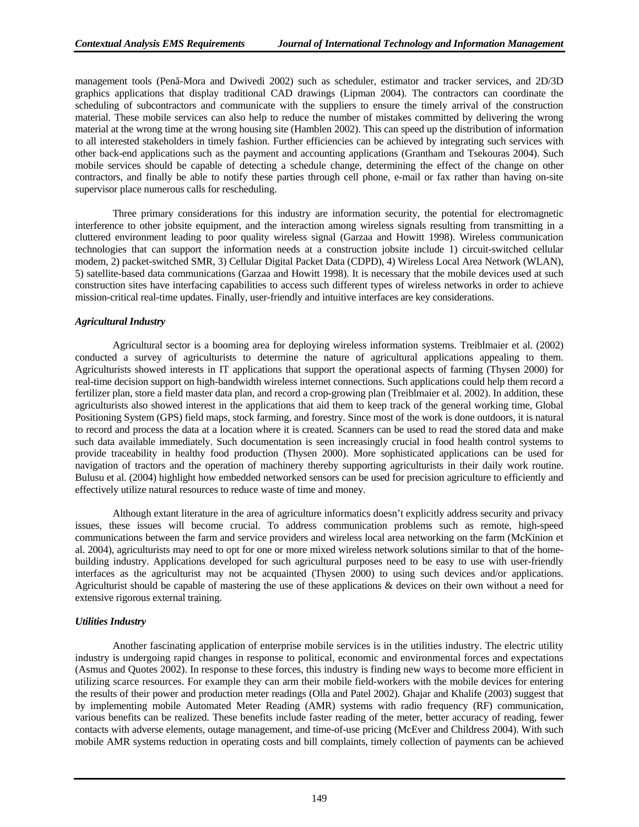management tools (Penã-Mora and Dwivedi 2002) such as scheduler, estimator and tracker services, and 2D/3D graphics applications that display traditional CAD drawings (Lipman 2004). The contractors can coordinate the scheduling of subcontractors and communicate with the suppliers to ensure the timely arrival of the construction material. These mobile services can also help to reduce the number of mistakes committed by delivering the wrong material at the wrong time at the wrong housing site (Hamblen 2002). This can speed up the distribution of information to all interested stakeholders in timely fashion. Further efficiencies can be achieved by integrating such services with other back-end applications such as the payment and accounting applications (Grantham and Tsekouras 2004). Such mobile services should be capable of detecting a schedule change, determining the effect of the change on other contractors, and finally be able to notify these parties through cell phone, e-mail or fax rather than having on-site supervisor place numerous calls for rescheduling.

Three primary considerations for this industry are information security, the potential for electromagnetic interference to other jobsite equipment, and the interaction among wireless signals resulting from transmitting in a cluttered environment leading to poor quality wireless signal (Garzaa and Howitt 1998). Wireless communication technologies that can support the information needs at a construction jobsite include 1) circuit-switched cellular modem, 2) packet-switched SMR, 3) Cellular Digital Packet Data (CDPD), 4) Wireless Local Area Network (WLAN), 5) satellite-based data communications (Garzaa and Howitt 1998). It is necessary that the mobile devices used at such construction sites have interfacing capabilities to access such different types of wireless networks in order to achieve mission-critical real-time updates. Finally, user-friendly and intuitive interfaces are key considerations.

#### *Agricultural Industry*

Agricultural sector is a booming area for deploying wireless information systems. Treiblmaier et al. (2002) conducted a survey of agriculturists to determine the nature of agricultural applications appealing to them. Agriculturists showed interests in IT applications that support the operational aspects of farming (Thysen 2000) for real-time decision support on high-bandwidth wireless internet connections. Such applications could help them record a fertilizer plan, store a field master data plan, and record a crop-growing plan (Treiblmaier et al. 2002). In addition, these agriculturists also showed interest in the applications that aid them to keep track of the general working time, Global Positioning System (GPS) field maps, stock farming, and forestry. Since most of the work is done outdoors, it is natural to record and process the data at a location where it is created. Scanners can be used to read the stored data and make such data available immediately. Such documentation is seen increasingly crucial in food health control systems to provide traceability in healthy food production (Thysen 2000). More sophisticated applications can be used for navigation of tractors and the operation of machinery thereby supporting agriculturists in their daily work routine. Bulusu et al. (2004) highlight how embedded networked sensors can be used for precision agriculture to efficiently and effectively utilize natural resources to reduce waste of time and money.

Although extant literature in the area of agriculture informatics doesn't explicitly address security and privacy issues, these issues will become crucial. To address communication problems such as remote, high-speed communications between the farm and service providers and wireless local area networking on the farm (McKinion et al. 2004), agriculturists may need to opt for one or more mixed wireless network solutions similar to that of the homebuilding industry. Applications developed for such agricultural purposes need to be easy to use with user-friendly interfaces as the agriculturist may not be acquainted (Thysen 2000) to using such devices and/or applications. Agriculturist should be capable of mastering the use of these applications & devices on their own without a need for extensive rigorous external training.

#### *Utilities Industry*

Another fascinating application of enterprise mobile services is in the utilities industry. The electric utility industry is undergoing rapid changes in response to political, economic and environmental forces and expectations (Asmus and Quotes 2002). In response to these forces, this industry is finding new ways to become more efficient in utilizing scarce resources. For example they can arm their mobile field-workers with the mobile devices for entering the results of their power and production meter readings (Olla and Patel 2002). Ghajar and Khalife (2003) suggest that by implementing mobile Automated Meter Reading (AMR) systems with radio frequency (RF) communication, various benefits can be realized. These benefits include faster reading of the meter, better accuracy of reading, fewer contacts with adverse elements, outage management, and time-of-use pricing (McEver and Childress 2004). With such mobile AMR systems reduction in operating costs and bill complaints, timely collection of payments can be achieved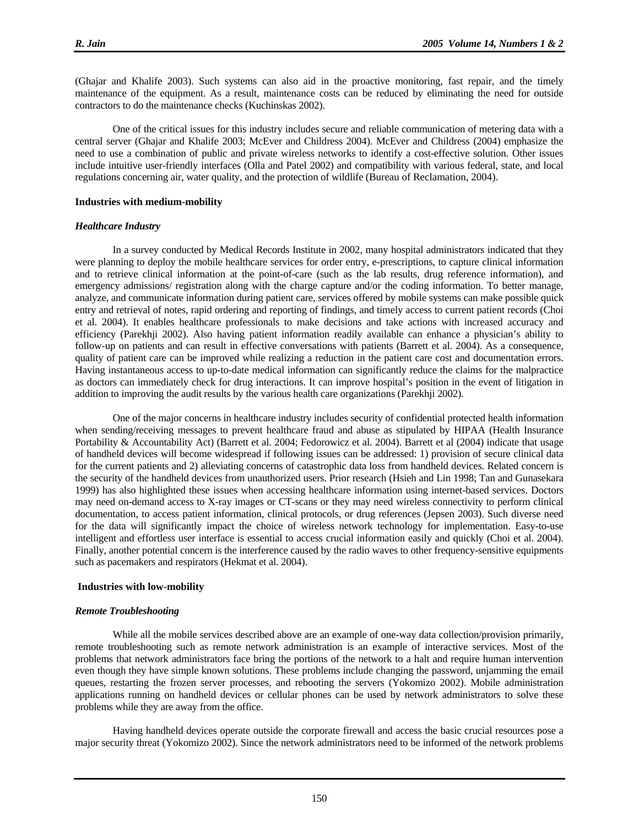(Ghajar and Khalife 2003). Such systems can also aid in the proactive monitoring, fast repair, and the timely maintenance of the equipment. As a result, maintenance costs can be reduced by eliminating the need for outside contractors to do the maintenance checks (Kuchinskas 2002).

One of the critical issues for this industry includes secure and reliable communication of metering data with a central server (Ghajar and Khalife 2003; McEver and Childress 2004). McEver and Childress (2004) emphasize the need to use a combination of public and private wireless networks to identify a cost-effective solution. Other issues include intuitive user-friendly interfaces (Olla and Patel 2002) and compatibility with various federal, state, and local regulations concerning air, water quality, and the protection of wildlife (Bureau of Reclamation, 2004).

#### **Industries with medium-mobility**

#### *Healthcare Industry*

In a survey conducted by Medical Records Institute in 2002, many hospital administrators indicated that they were planning to deploy the mobile healthcare services for order entry, e-prescriptions, to capture clinical information and to retrieve clinical information at the point-of-care (such as the lab results, drug reference information), and emergency admissions/ registration along with the charge capture and/or the coding information. To better manage, analyze, and communicate information during patient care, services offered by mobile systems can make possible quick entry and retrieval of notes, rapid ordering and reporting of findings, and timely access to current patient records (Choi et al. 2004). It enables healthcare professionals to make decisions and take actions with increased accuracy and efficiency (Parekhji 2002). Also having patient information readily available can enhance a physician's ability to follow-up on patients and can result in effective conversations with patients (Barrett et al. 2004). As a consequence, quality of patient care can be improved while realizing a reduction in the patient care cost and documentation errors. Having instantaneous access to up-to-date medical information can significantly reduce the claims for the malpractice as doctors can immediately check for drug interactions. It can improve hospital's position in the event of litigation in addition to improving the audit results by the various health care organizations (Parekhji 2002).

One of the major concerns in healthcare industry includes security of confidential protected health information when sending/receiving messages to prevent healthcare fraud and abuse as stipulated by HIPAA (Health Insurance Portability & Accountability Act) (Barrett et al. 2004; Fedorowicz et al. 2004). Barrett et al (2004) indicate that usage of handheld devices will become widespread if following issues can be addressed: 1) provision of secure clinical data for the current patients and 2) alleviating concerns of catastrophic data loss from handheld devices. Related concern is the security of the handheld devices from unauthorized users. Prior research (Hsieh and Lin 1998; Tan and Gunasekara 1999) has also highlighted these issues when accessing healthcare information using internet-based services. Doctors may need on-demand access to X-ray images or CT-scans or they may need wireless connectivity to perform clinical documentation, to access patient information, clinical protocols, or drug references (Jepsen 2003). Such diverse need for the data will significantly impact the choice of wireless network technology for implementation. Easy-to-use intelligent and effortless user interface is essential to access crucial information easily and quickly (Choi et al. 2004). Finally, another potential concern is the interference caused by the radio waves to other frequency-sensitive equipments such as pacemakers and respirators (Hekmat et al. 2004).

#### **Industries with low-mobility**

#### *Remote Troubleshooting*

While all the mobile services described above are an example of one-way data collection/provision primarily, remote troubleshooting such as remote network administration is an example of interactive services. Most of the problems that network administrators face bring the portions of the network to a halt and require human intervention even though they have simple known solutions. These problems include changing the password, unjamming the email queues, restarting the frozen server processes, and rebooting the servers (Yokomizo 2002). Mobile administration applications running on handheld devices or cellular phones can be used by network administrators to solve these problems while they are away from the office.

Having handheld devices operate outside the corporate firewall and access the basic crucial resources pose a major security threat (Yokomizo 2002). Since the network administrators need to be informed of the network problems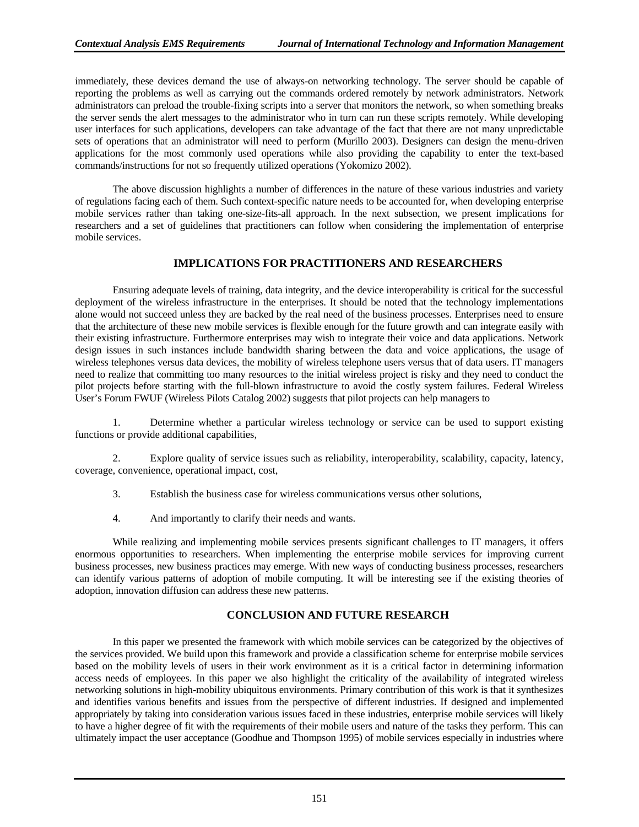immediately, these devices demand the use of always-on networking technology. The server should be capable of reporting the problems as well as carrying out the commands ordered remotely by network administrators. Network administrators can preload the trouble-fixing scripts into a server that monitors the network, so when something breaks the server sends the alert messages to the administrator who in turn can run these scripts remotely. While developing user interfaces for such applications, developers can take advantage of the fact that there are not many unpredictable sets of operations that an administrator will need to perform (Murillo 2003). Designers can design the menu-driven applications for the most commonly used operations while also providing the capability to enter the text-based commands/instructions for not so frequently utilized operations (Yokomizo 2002).

The above discussion highlights a number of differences in the nature of these various industries and variety of regulations facing each of them. Such context-specific nature needs to be accounted for, when developing enterprise mobile services rather than taking one-size-fits-all approach. In the next subsection, we present implications for researchers and a set of guidelines that practitioners can follow when considering the implementation of enterprise mobile services.

### **IMPLICATIONS FOR PRACTITIONERS AND RESEARCHERS**

Ensuring adequate levels of training, data integrity, and the device interoperability is critical for the successful deployment of the wireless infrastructure in the enterprises. It should be noted that the technology implementations alone would not succeed unless they are backed by the real need of the business processes. Enterprises need to ensure that the architecture of these new mobile services is flexible enough for the future growth and can integrate easily with their existing infrastructure. Furthermore enterprises may wish to integrate their voice and data applications. Network design issues in such instances include bandwidth sharing between the data and voice applications, the usage of wireless telephones versus data devices, the mobility of wireless telephone users versus that of data users. IT managers need to realize that committing too many resources to the initial wireless project is risky and they need to conduct the pilot projects before starting with the full-blown infrastructure to avoid the costly system failures. Federal Wireless User's Forum FWUF (Wireless Pilots Catalog 2002) suggests that pilot projects can help managers to

1. Determine whether a particular wireless technology or service can be used to support existing functions or provide additional capabilities,

2. Explore quality of service issues such as reliability, interoperability, scalability, capacity, latency, coverage, convenience, operational impact, cost,

- 3. Establish the business case for wireless communications versus other solutions,
- 4. And importantly to clarify their needs and wants.

While realizing and implementing mobile services presents significant challenges to IT managers, it offers enormous opportunities to researchers. When implementing the enterprise mobile services for improving current business processes, new business practices may emerge. With new ways of conducting business processes, researchers can identify various patterns of adoption of mobile computing. It will be interesting see if the existing theories of adoption, innovation diffusion can address these new patterns.

# **CONCLUSION AND FUTURE RESEARCH**

In this paper we presented the framework with which mobile services can be categorized by the objectives of the services provided. We build upon this framework and provide a classification scheme for enterprise mobile services based on the mobility levels of users in their work environment as it is a critical factor in determining information access needs of employees. In this paper we also highlight the criticality of the availability of integrated wireless networking solutions in high-mobility ubiquitous environments. Primary contribution of this work is that it synthesizes and identifies various benefits and issues from the perspective of different industries. If designed and implemented appropriately by taking into consideration various issues faced in these industries, enterprise mobile services will likely to have a higher degree of fit with the requirements of their mobile users and nature of the tasks they perform. This can ultimately impact the user acceptance (Goodhue and Thompson 1995) of mobile services especially in industries where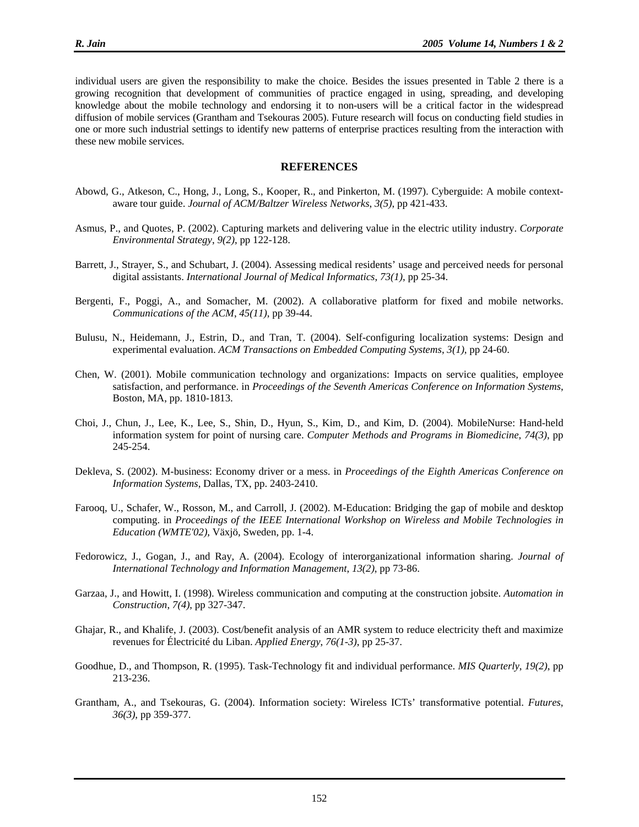individual users are given the responsibility to make the choice. Besides the issues presented in Table 2 there is a growing recognition that development of communities of practice engaged in using, spreading, and developing knowledge about the mobile technology and endorsing it to non-users will be a critical factor in the widespread diffusion of mobile services (Grantham and Tsekouras 2005). Future research will focus on conducting field studies in one or more such industrial settings to identify new patterns of enterprise practices resulting from the interaction with these new mobile services.

#### **REFERENCES**

- Abowd, G., Atkeson, C., Hong, J., Long, S., Kooper, R., and Pinkerton, M. (1997). Cyberguide: A mobile contextaware tour guide. *Journal of ACM/Baltzer Wireless Networks*, *3(5)*, pp 421-433.
- Asmus, P., and Quotes, P. (2002). Capturing markets and delivering value in the electric utility industry. *Corporate Environmental Strategy*, *9(2)*, pp 122-128.
- Barrett, J., Strayer, S., and Schubart, J. (2004). Assessing medical residents' usage and perceived needs for personal digital assistants. *International Journal of Medical Informatics*, *73(1)*, pp 25-34.
- Bergenti, F., Poggi, A., and Somacher, M. (2002). A collaborative platform for fixed and mobile networks. *Communications of the ACM*, *45(11)*, pp 39-44.
- Bulusu, N., Heidemann, J., Estrin, D., and Tran, T. (2004). Self-configuring localization systems: Design and experimental evaluation. *ACM Transactions on Embedded Computing Systems*, *3(1)*, pp 24-60.
- Chen, W. (2001). Mobile communication technology and organizations: Impacts on service qualities, employee satisfaction, and performance. in *Proceedings of the Seventh Americas Conference on Information Systems*, Boston, MA, pp. 1810-1813.
- Choi, J., Chun, J., Lee, K., Lee, S., Shin, D., Hyun, S., Kim, D., and Kim, D. (2004). MobileNurse: Hand-held information system for point of nursing care. *Computer Methods and Programs in Biomedicine*, *74(3)*, pp 245-254.
- Dekleva, S. (2002). M-business: Economy driver or a mess. in *Proceedings of the Eighth Americas Conference on Information Systems*, Dallas, TX, pp. 2403-2410.
- Farooq, U., Schafer, W., Rosson, M., and Carroll, J. (2002). M-Education: Bridging the gap of mobile and desktop computing. in *Proceedings of the IEEE International Workshop on Wireless and Mobile Technologies in Education (WMTE'02)*, Växjö, Sweden, pp. 1-4.
- Fedorowicz, J., Gogan, J., and Ray, A. (2004). Ecology of interorganizational information sharing. *Journal of International Technology and Information Management*, *13(2)*, pp 73-86.
- Garzaa, J., and Howitt, I. (1998). Wireless communication and computing at the construction jobsite. *Automation in Construction*, *7(4)*, pp 327-347.
- Ghajar, R., and Khalife, J. (2003). Cost/benefit analysis of an AMR system to reduce electricity theft and maximize revenues for Électricité du Liban. *Applied Energy*, *76(1-3)*, pp 25-37.
- Goodhue, D., and Thompson, R. (1995). Task-Technology fit and individual performance. *MIS Quarterly*, *19(2)*, pp 213-236.
- Grantham, A., and Tsekouras, G. (2004). Information society: Wireless ICTs' transformative potential. *Futures*, *36(3)*, pp 359-377.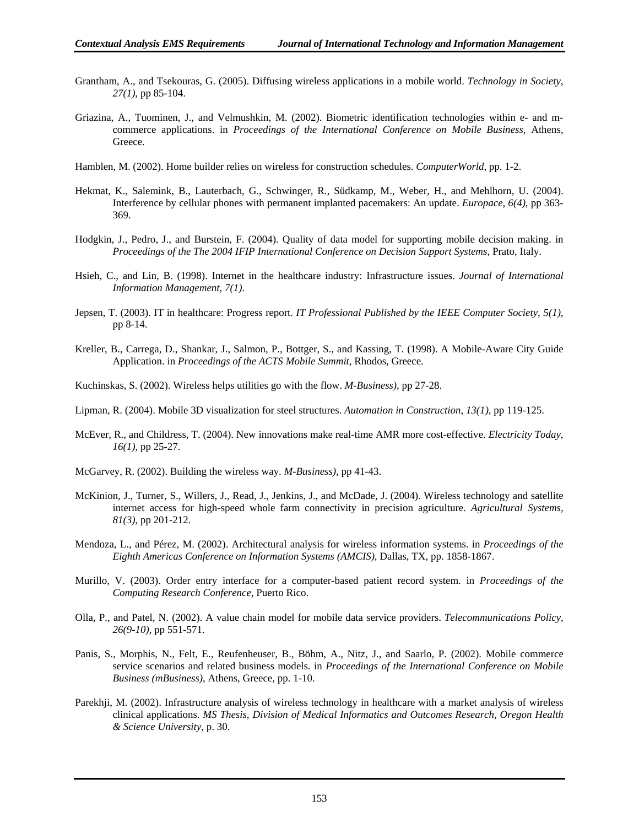- Grantham, A., and Tsekouras, G. (2005). Diffusing wireless applications in a mobile world. *Technology in Society*, *27(1)*, pp 85-104.
- Griazina, A., Tuominen, J., and Velmushkin, M. (2002). Biometric identification technologies within e- and mcommerce applications. in *Proceedings of the International Conference on Mobile Business*, Athens, Greece.
- Hamblen, M. (2002). Home builder relies on wireless for construction schedules. *ComputerWorld*, pp. 1-2.
- Hekmat, K., Salemink, B., Lauterbach, G., Schwinger, R., Südkamp, M., Weber, H., and Mehlhorn, U. (2004). Interference by cellular phones with permanent implanted pacemakers: An update. *Europace*, *6(4)*, pp 363- 369.
- Hodgkin, J., Pedro, J., and Burstein, F. (2004). Quality of data model for supporting mobile decision making. in *Proceedings of the The 2004 IFIP International Conference on Decision Support Systems*, Prato, Italy.
- Hsieh, C., and Lin, B. (1998). Internet in the healthcare industry: Infrastructure issues. *Journal of International Information Management*, *7(1)*.
- Jepsen, T. (2003). IT in healthcare: Progress report. *IT Professional Published by the IEEE Computer Society*, *5(1)*, pp 8-14.
- Kreller, B., Carrega, D., Shankar, J., Salmon, P., Bottger, S., and Kassing, T. (1998). A Mobile-Aware City Guide Application. in *Proceedings of the ACTS Mobile Summit*, Rhodos, Greece.
- Kuchinskas, S. (2002). Wireless helps utilities go with the flow. *M-Business)*, pp 27-28.
- Lipman, R. (2004). Mobile 3D visualization for steel structures. *Automation in Construction*, *13(1)*, pp 119-125.
- McEver, R., and Childress, T. (2004). New innovations make real-time AMR more cost-effective. *Electricity Today*, *16(1)*, pp 25-27.
- McGarvey, R. (2002). Building the wireless way. *M-Business)*, pp 41-43.
- McKinion, J., Turner, S., Willers, J., Read, J., Jenkins, J., and McDade, J. (2004). Wireless technology and satellite internet access for high-speed whole farm connectivity in precision agriculture. *Agricultural Systems*, *81(3)*, pp 201-212.
- Mendoza, L., and Pérez, M. (2002). Architectural analysis for wireless information systems. in *Proceedings of the Eighth Americas Conference on Information Systems (AMCIS)*, Dallas, TX, pp. 1858-1867.
- Murillo, V. (2003). Order entry interface for a computer-based patient record system. in *Proceedings of the Computing Research Conference*, Puerto Rico.
- Olla, P., and Patel, N. (2002). A value chain model for mobile data service providers. *Telecommunications Policy*, *26(9-10)*, pp 551-571.
- Panis, S., Morphis, N., Felt, E., Reufenheuser, B., Böhm, A., Nitz, J., and Saarlo, P. (2002). Mobile commerce service scenarios and related business models. in *Proceedings of the International Conference on Mobile Business (mBusiness)*, Athens, Greece, pp. 1-10.
- Parekhji, M. (2002). Infrastructure analysis of wireless technology in healthcare with a market analysis of wireless clinical applications. *MS Thesis, Division of Medical Informatics and Outcomes Research, Oregon Health & Science University*, p. 30.